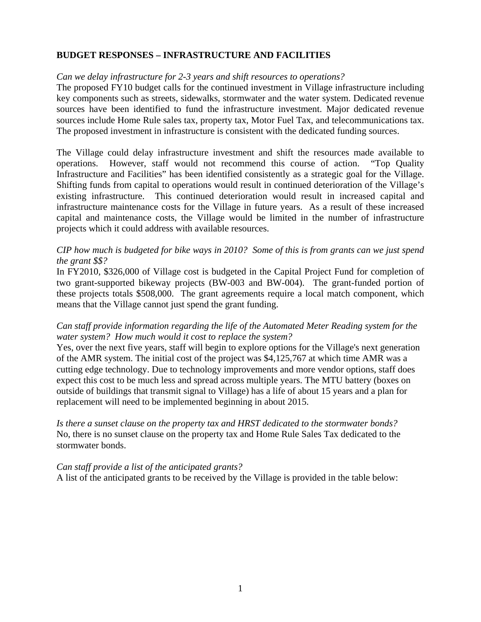## **BUDGET RESPONSES – INFRASTRUCTURE AND FACILITIES**

### *Can we delay infrastructure for 2-3 years and shift resources to operations?*

The proposed FY10 budget calls for the continued investment in Village infrastructure including key components such as streets, sidewalks, stormwater and the water system. Dedicated revenue sources have been identified to fund the infrastructure investment. Major dedicated revenue sources include Home Rule sales tax, property tax, Motor Fuel Tax, and telecommunications tax. The proposed investment in infrastructure is consistent with the dedicated funding sources.

The Village could delay infrastructure investment and shift the resources made available to operations. However, staff would not recommend this course of action. "Top Quality Infrastructure and Facilities" has been identified consistently as a strategic goal for the Village. Shifting funds from capital to operations would result in continued deterioration of the Village's existing infrastructure. This continued deterioration would result in increased capital and infrastructure maintenance costs for the Village in future years. As a result of these increased capital and maintenance costs, the Village would be limited in the number of infrastructure projects which it could address with available resources.

## *CIP how much is budgeted for bike ways in 2010? Some of this is from grants can we just spend the grant \$\$?*

In FY2010, \$326,000 of Village cost is budgeted in the Capital Project Fund for completion of two grant-supported bikeway projects (BW-003 and BW-004). The grant-funded portion of these projects totals \$508,000. The grant agreements require a local match component, which means that the Village cannot just spend the grant funding.

## *Can staff provide information regarding the life of the Automated Meter Reading system for the water system? How much would it cost to replace the system?*

Yes, over the next five years, staff will begin to explore options for the Village's next generation of the AMR system. The initial cost of the project was \$4,125,767 at which time AMR was a cutting edge technology. Due to technology improvements and more vendor options, staff does expect this cost to be much less and spread across multiple years. The MTU battery (boxes on outside of buildings that transmit signal to Village) has a life of about 15 years and a plan for replacement will need to be implemented beginning in about 2015.

*Is there a sunset clause on the property tax and HRST dedicated to the stormwater bonds?*  No, there is no sunset clause on the property tax and Home Rule Sales Tax dedicated to the stormwater bonds.

#### *Can staff provide a list of the anticipated grants?*

A list of the anticipated grants to be received by the Village is provided in the table below: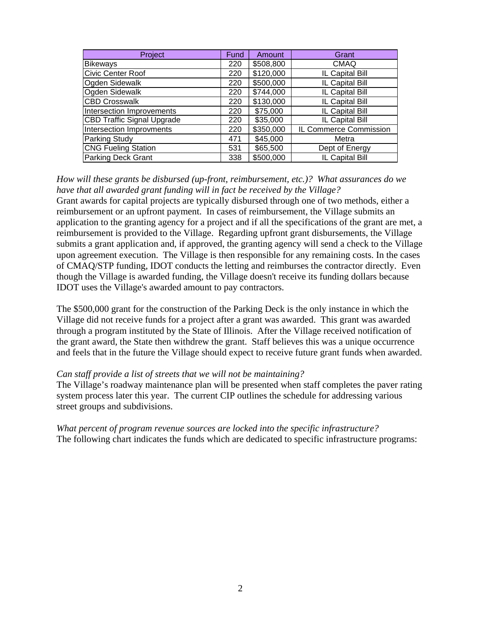| Project                           | Fund | Amount    | Grant                  |
|-----------------------------------|------|-----------|------------------------|
| <b>Bikeways</b>                   | 220  | \$508,800 | <b>CMAQ</b>            |
| Civic Center Roof                 | 220  | \$120,000 | IL Capital Bill        |
| Ogden Sidewalk                    | 220  | \$500,000 | IL Capital Bill        |
| Ogden Sidewalk                    | 220  | \$744,000 | IL Capital Bill        |
| <b>CBD Crosswalk</b>              | 220  | \$130,000 | IL Capital Bill        |
| Intersection Improvements         | 220  | \$75,000  | IL Capital Bill        |
| <b>CBD Traffic Signal Upgrade</b> | 220  | \$35,000  | IL Capital Bill        |
| Intersection Improvments          | 220  | \$350,000 | IL Commerce Commission |
| Parking Study                     | 471  | \$45,000  | Metra                  |
| <b>CNG Fueling Station</b>        | 531  | \$65,500  | Dept of Energy         |
| <b>Parking Deck Grant</b>         | 338  | \$500,000 | IL Capital Bill        |

*How will these grants be disbursed (up-front, reimbursement, etc.)? What assurances do we have that all awarded grant funding will in fact be received by the Village?*  Grant awards for capital projects are typically disbursed through one of two methods, either a reimbursement or an upfront payment. In cases of reimbursement, the Village submits an application to the granting agency for a project and if all the specifications of the grant are met, a reimbursement is provided to the Village. Regarding upfront grant disbursements, the Village submits a grant application and, if approved, the granting agency will send a check to the Village upon agreement execution. The Village is then responsible for any remaining costs. In the cases of CMAQ/STP funding, IDOT conducts the letting and reimburses the contractor directly. Even though the Village is awarded funding, the Village doesn't receive its funding dollars because IDOT uses the Village's awarded amount to pay contractors.

The \$500,000 grant for the construction of the Parking Deck is the only instance in which the Village did not receive funds for a project after a grant was awarded. This grant was awarded through a program instituted by the State of Illinois. After the Village received notification of the grant award, the State then withdrew the grant. Staff believes this was a unique occurrence and feels that in the future the Village should expect to receive future grant funds when awarded.

#### *Can staff provide a list of streets that we will not be maintaining?*

The Village's roadway maintenance plan will be presented when staff completes the paver rating system process later this year. The current CIP outlines the schedule for addressing various street groups and subdivisions.

*What percent of program revenue sources are locked into the specific infrastructure?*  The following chart indicates the funds which are dedicated to specific infrastructure programs: